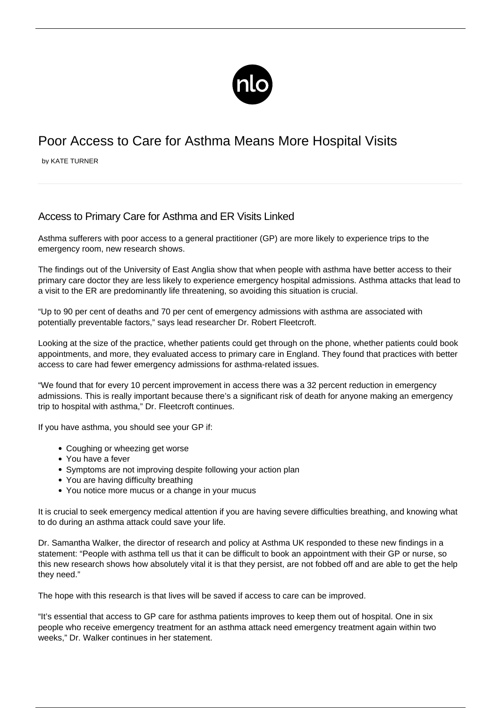

## Poor Access to Care for Asthma Means More Hospital Visits

by KATE TURNER

## Access to Primary Care for Asthma and ER Visits Linked

Asthma sufferers with poor access to a general practitioner (GP) are more likely to experience trips to the emergency room, new research shows.

The findings out of the University of East Anglia show that when people with asthma have better access to their primary care doctor they are less likely to experience emergency hospital admissions. Asthma attacks that lead to a visit to the ER are predominantly life threatening, so avoiding this situation is crucial.

"Up to 90 per cent of deaths and 70 per cent of emergency admissions with asthma are associated with potentially preventable factors," says lead researcher Dr. Robert Fleetcroft.

Looking at the size of the practice, whether patients could get through on the phone, whether patients could book appointments, and more, they evaluated access to primary care in England. They found that practices with better access to care had fewer emergency admissions for asthma-related issues.

"We found that for every 10 percent improvement in access there was a 32 percent reduction in emergency admissions. This is really important because there's a significant risk of death for anyone making an emergency trip to hospital with asthma," Dr. Fleetcroft continues.

If you have asthma, you should see your GP if:

- Coughing or wheezing get worse
- You have a fever
- Symptoms are not improving despite following your action plan
- You are having difficulty breathing
- You notice more mucus or a change in your mucus

It is crucial to seek emergency medical attention if you are having severe difficulties breathing, and knowing [what](/what-to-do-during-an-asthma-attack/) [to do during an asthma attack](/what-to-do-during-an-asthma-attack/) could save your life.

Dr. Samantha Walker, the director of research and policy at Asthma UK responded to these new findings in a statement: "People with asthma tell us that it can be difficult to book an appointment with their GP or nurse, so this new research shows how absolutely vital it is that they persist, are not fobbed off and are able to get the help they need."

The hope with this research is that lives will be saved if access to care can be improved.

"It's essential that access to GP care for asthma patients improves to keep them out of hospital. One in six people who receive emergency treatment for an asthma attack need emergency treatment again within two weeks," Dr. Walker continues in her statement.